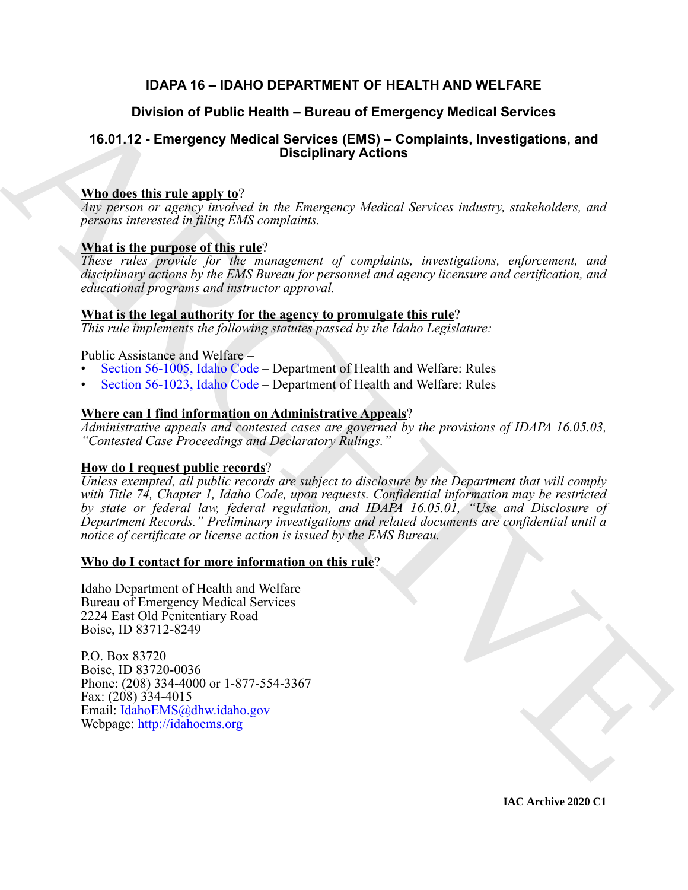## **IDAPA 16 – IDAHO DEPARTMENT OF HEALTH AND WELFARE**

## **Division of Public Health – Bureau of Emergency Medical Services**

## **16.01.12 - Emergency Medical Services (EMS) – Complaints, Investigations, and Disciplinary Actions**

## **Who does this rule apply to**?

*Any person or agency involved in the Emergency Medical Services industry, stakeholders, and persons interested in filing EMS complaints.*

## **What is the purpose of this rule**?

*These rules provide for the management of complaints, investigations, enforcement, and disciplinary actions by the EMS Bureau for personnel and agency licensure and certification, and educational programs and instructor approval.*

## **What is the legal authority for the agency to promulgate this rule**?

*This rule implements the following statutes passed by the Idaho Legislature:*

Public Assistance and Welfare –

- Section 56-1005, Idaho Code Department of Health and Welfare: Rules
- Section 56-1023, Idaho Code Department of Health and Welfare: Rules

## **Where can I find information on Administrative Appeals**?

*Administrative appeals and contested cases are governed by the provisions of IDAPA 16.05.03, "Contested Case Proceedings and Declaratory Rulings."*

## **How do I request public records**?

Division of Public Health – Bureau of Emergency Medical Services<br>
16.01.12 - Emergency Medical Services (EMS) – Complaints, Investigations, and<br>
Whether this rule angle  $w_i^2$  is the *Francescap Medical Services industry, Unless exempted, all public records are subject to disclosure by the Department that will comply with Title 74, Chapter 1, Idaho Code, upon requests. Confidential information may be restricted by state or federal law, federal regulation, and IDAPA 16.05.01, "Use and Disclosure of Department Records." Preliminary investigations and related documents are confidential until a notice of certificate or license action is issued by the EMS Bureau.*

## **Who do I contact for more information on this rule**?

Idaho Department of Health and Welfare Bureau of Emergency Medical Services 2224 East Old Penitentiary Road Boise, ID 83712-8249

P.O. Box 83720 Boise, ID 83720-0036 Phone: (208) 334-4000 or 1-877-554-3367 Fax: (208) 334-4015 Email: IdahoEMS@dhw.idaho.gov Webpage: http://idahoems.org

**IAC Archive 2020 C1**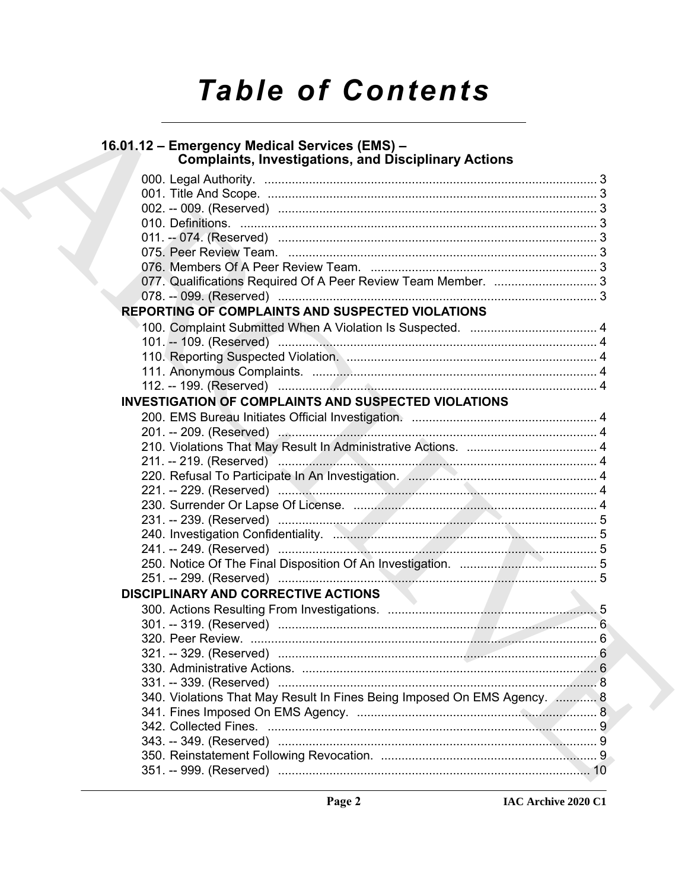# **Table of Contents**

| 16.01.12 - Emergency Medical Services (EMS) -<br><b>Complaints, Investigations, and Disciplinary Actions</b> |  |
|--------------------------------------------------------------------------------------------------------------|--|
|                                                                                                              |  |
|                                                                                                              |  |
|                                                                                                              |  |
|                                                                                                              |  |
|                                                                                                              |  |
|                                                                                                              |  |
|                                                                                                              |  |
|                                                                                                              |  |
|                                                                                                              |  |
| <b>REPORTING OF COMPLAINTS AND SUSPECTED VIOLATIONS</b>                                                      |  |
|                                                                                                              |  |
|                                                                                                              |  |
|                                                                                                              |  |
|                                                                                                              |  |
|                                                                                                              |  |
| <b>INVESTIGATION OF COMPLAINTS AND SUSPECTED VIOLATIONS</b>                                                  |  |
|                                                                                                              |  |
|                                                                                                              |  |
|                                                                                                              |  |
|                                                                                                              |  |
|                                                                                                              |  |
|                                                                                                              |  |
|                                                                                                              |  |
|                                                                                                              |  |
|                                                                                                              |  |
|                                                                                                              |  |
|                                                                                                              |  |
|                                                                                                              |  |
| <b>DISCIPLINARY AND CORRECTIVE ACTIONS</b>                                                                   |  |
|                                                                                                              |  |
|                                                                                                              |  |
|                                                                                                              |  |
|                                                                                                              |  |
|                                                                                                              |  |
|                                                                                                              |  |
| 340. Violations That May Result In Fines Being Imposed On EMS Agency.  8                                     |  |
|                                                                                                              |  |
|                                                                                                              |  |
|                                                                                                              |  |
|                                                                                                              |  |
|                                                                                                              |  |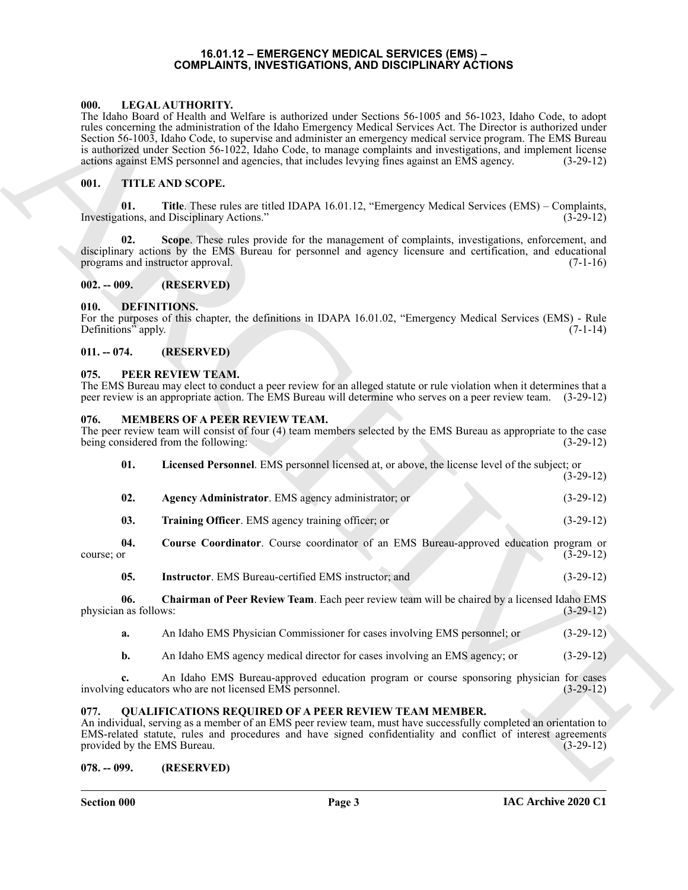#### **16.01.12 – EMERGENCY MEDICAL SERVICES (EMS) – COMPLAINTS, INVESTIGATIONS, AND DISCIPLINARY ACTIONS**

#### <span id="page-2-11"></span><span id="page-2-1"></span><span id="page-2-0"></span>**000. LEGAL AUTHORITY.**

#### <span id="page-2-21"></span><span id="page-2-2"></span>**001. TITLE AND SCOPE.**

#### <span id="page-2-3"></span>**002. -- 009. (RESERVED)**

#### <span id="page-2-10"></span><span id="page-2-4"></span>**010. DEFINITIONS.**

#### <span id="page-2-5"></span>**011. -- 074. (RESERVED)**

#### <span id="page-2-19"></span><span id="page-2-6"></span>**075. PEER REVIEW TEAM.**

#### <span id="page-2-18"></span><span id="page-2-17"></span><span id="page-2-15"></span><span id="page-2-13"></span><span id="page-2-12"></span><span id="page-2-7"></span>**076. MEMBERS OF A PEER REVIEW TEAM.**

| 000.                                | LEGAL AUTHORITY.<br>The Idaho Board of Health and Welfare is authorized under Sections 56-1005 and 56-1023, Idaho Code, to adopt<br>rules concerning the administration of the Idaho Emergency Medical Services Act. The Director is authorized under<br>Section 56-1003, Idaho Code, to supervise and administer an emergency medical service program. The EMS Bureau<br>is authorized under Section 56-1022, Idaho Code, to manage complaints and investigations, and implement license<br>actions against EMS personnel and agencies, that includes levying fines against an EMS agency. | $(3-29-12)$ |
|-------------------------------------|---------------------------------------------------------------------------------------------------------------------------------------------------------------------------------------------------------------------------------------------------------------------------------------------------------------------------------------------------------------------------------------------------------------------------------------------------------------------------------------------------------------------------------------------------------------------------------------------|-------------|
| 001.                                | <b>TITLE AND SCOPE.</b>                                                                                                                                                                                                                                                                                                                                                                                                                                                                                                                                                                     |             |
| 01.                                 | Title. These rules are titled IDAPA 16.01.12, "Emergency Medical Services (EMS) – Complaints,<br>Investigations, and Disciplinary Actions."                                                                                                                                                                                                                                                                                                                                                                                                                                                 | $(3-29-12)$ |
| 02.                                 | Scope. These rules provide for the management of complaints, investigations, enforcement, and<br>disciplinary actions by the EMS Bureau for personnel and agency licensure and certification, and educational<br>programs and instructor approval.                                                                                                                                                                                                                                                                                                                                          | $(7-1-16)$  |
| $002. - 009.$                       | (RESERVED)                                                                                                                                                                                                                                                                                                                                                                                                                                                                                                                                                                                  |             |
| 010.<br>Definitions" apply.         | DEFINITIONS.<br>For the purposes of this chapter, the definitions in IDAPA 16.01.02, "Emergency Medical Services (EMS) - Rule                                                                                                                                                                                                                                                                                                                                                                                                                                                               | $(7-1-14)$  |
| $011. - 074.$                       | (RESERVED)                                                                                                                                                                                                                                                                                                                                                                                                                                                                                                                                                                                  |             |
| 075.                                | PEER REVIEW TEAM.<br>The EMS Bureau may elect to conduct a peer review for an alleged statute or rule violation when it determines that a<br>peer review is an appropriate action. The EMS Bureau will determine who serves on a peer review team. (3-29-12)                                                                                                                                                                                                                                                                                                                                |             |
| 076.                                | <b>MEMBERS OF A PEER REVIEW TEAM.</b><br>The peer review team will consist of four (4) team members selected by the EMS Bureau as appropriate to the case<br>being considered from the following:                                                                                                                                                                                                                                                                                                                                                                                           | $(3-29-12)$ |
| 01.                                 | Licensed Personnel. EMS personnel licensed at, or above, the license level of the subject; or                                                                                                                                                                                                                                                                                                                                                                                                                                                                                               | $(3-29-12)$ |
| 02.                                 | Agency Administrator. EMS agency administrator; or                                                                                                                                                                                                                                                                                                                                                                                                                                                                                                                                          | $(3-29-12)$ |
| 03.                                 | Training Officer. EMS agency training officer; or                                                                                                                                                                                                                                                                                                                                                                                                                                                                                                                                           | $(3-29-12)$ |
| 04.<br>course; or                   | Course Coordinator. Course coordinator of an EMS Bureau-approved education program or                                                                                                                                                                                                                                                                                                                                                                                                                                                                                                       | $(3-29-12)$ |
| 05.                                 | Instructor. EMS Bureau-certified EMS instructor; and                                                                                                                                                                                                                                                                                                                                                                                                                                                                                                                                        | $(3-29-12)$ |
| 06.<br>physician as follows:        | Chairman of Peer Review Team. Each peer review team will be chaired by a licensed Idaho EMS                                                                                                                                                                                                                                                                                                                                                                                                                                                                                                 | $(3-29-12)$ |
| a.                                  | An Idaho EMS Physician Commissioner for cases involving EMS personnel; or                                                                                                                                                                                                                                                                                                                                                                                                                                                                                                                   | $(3-29-12)$ |
| b.                                  | An Idaho EMS agency medical director for cases involving an EMS agency; or                                                                                                                                                                                                                                                                                                                                                                                                                                                                                                                  | $(3-29-12)$ |
| c.                                  | An Idaho EMS Bureau-approved education program or course sponsoring physician for cases<br>involving educators who are not licensed EMS personnel.                                                                                                                                                                                                                                                                                                                                                                                                                                          | $(3-29-12)$ |
| 077.<br>provided by the EMS Bureau. | <b>QUALIFICATIONS REQUIRED OF A PEER REVIEW TEAM MEMBER.</b><br>An individual, serving as a member of an EMS peer review team, must have successfully completed an orientation to<br>EMS-related statute, rules and procedures and have signed confidentiality and conflict of interest agreements                                                                                                                                                                                                                                                                                          | $(3-29-12)$ |
| $078. - 099.$                       | (RESERVED)                                                                                                                                                                                                                                                                                                                                                                                                                                                                                                                                                                                  |             |
|                                     |                                                                                                                                                                                                                                                                                                                                                                                                                                                                                                                                                                                             |             |

#### <span id="page-2-20"></span><span id="page-2-16"></span><span id="page-2-14"></span><span id="page-2-8"></span>**077. QUALIFICATIONS REQUIRED OF A PEER REVIEW TEAM MEMBER.**

#### <span id="page-2-9"></span>**078. -- 099. (RESERVED)**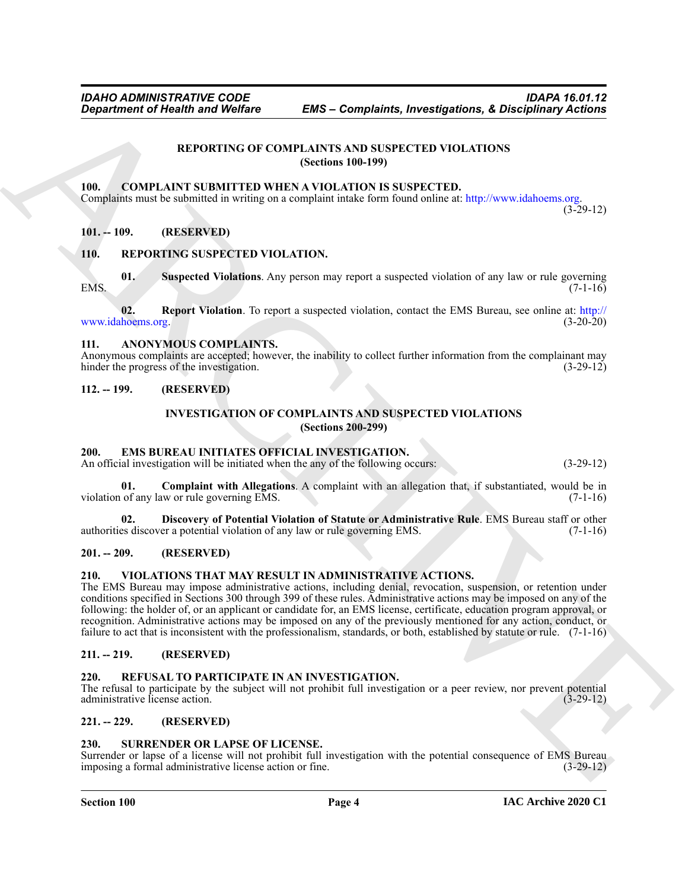#### <span id="page-3-21"></span>**REPORTING OF COMPLAINTS AND SUSPECTED VIOLATIONS (Sections 100-199)**

#### <span id="page-3-15"></span><span id="page-3-1"></span><span id="page-3-0"></span>**100. COMPLAINT SUBMITTED WHEN A VIOLATION IS SUSPECTED.**

Complaints must be submitted in writing on a complaint intake form found online at: http://www.idahoems.org.

 $(3-29-12)$ 

#### <span id="page-3-2"></span>**101. -- 109. (RESERVED)**

#### <span id="page-3-22"></span><span id="page-3-3"></span>**110. REPORTING SUSPECTED VIOLATION.**

<span id="page-3-24"></span>**01. Suspected Violations**. Any person may report a suspected violation of any law or rule governing  $1.16$  (7-1-16)

<span id="page-3-23"></span>**02.** Report Violation. To report a suspected violation, contact the EMS Bureau, see online at: http://<br>hoems.org. (3-20-20) www.idahoems.org.

#### <span id="page-3-14"></span><span id="page-3-4"></span>**111. ANONYMOUS COMPLAINTS.**

Anonymous complaints are accepted; however, the inability to collect further information from the complainant may hinder the progress of the investigation. (3-29-12)

#### <span id="page-3-6"></span><span id="page-3-5"></span>**112. -- 199. (RESERVED)**

#### <span id="page-3-19"></span><span id="page-3-17"></span>**INVESTIGATION OF COMPLAINTS AND SUSPECTED VIOLATIONS (Sections 200-299)**

#### <span id="page-3-16"></span><span id="page-3-7"></span>**200. EMS BUREAU INITIATES OFFICIAL INVESTIGATION.**

An official investigation will be initiated when the any of the following occurs: (3-29-12)

**01. Complaint with Allegations**. A complaint with an allegation that, if substantiated, would be in violation of any law or rule governing EMS. (7-1-16)

<span id="page-3-18"></span>**02. Discovery of Potential Violation of Statute or Administrative Rule**. EMS Bureau staff or other authorities discover a potential violation of any law or rule governing EMS. (7-1-16)

#### <span id="page-3-8"></span>**201. -- 209. (RESERVED)**

#### <span id="page-3-26"></span><span id="page-3-9"></span>**210. VIOLATIONS THAT MAY RESULT IN ADMINISTRATIVE ACTIONS.**

**Expansion of Nearly Wolfare EMS - Completents, Investigations, & Disciplinary Actions<br> [R](http://www.idahoems.org)EPORTING OF CONTRACTION VIOLATION VIOLATIONS<br>
1988 - CONTRACTION CONTRACTION (Section 100-199)<br>
1998 - ContraCTION CONTRACTION CONTR** The EMS Bureau may impose administrative actions, including denial, revocation, suspension, or retention under conditions specified in Sections 300 through 399 of these rules. Administrative actions may be imposed on any of the following: the holder of, or an applicant or candidate for, an EMS license, certificate, education program approval, or recognition. Administrative actions may be imposed on any of the previously mentioned for any action, conduct, or failure to act that is inconsistent with the professionalism, standards, or both, established by statute or rule. (7-1-16)

#### <span id="page-3-10"></span>**211. -- 219. (RESERVED)**

#### <span id="page-3-20"></span><span id="page-3-11"></span>**220. REFUSAL TO PARTICIPATE IN AN INVESTIGATION.**

The refusal to participate by the subject will not prohibit full investigation or a peer review, nor prevent potential administrative license action. (3-29-12)

## <span id="page-3-12"></span>**221. -- 229. (RESERVED)**

#### <span id="page-3-25"></span><span id="page-3-13"></span>**230. SURRENDER OR LAPSE OF LICENSE.**

Surrender or lapse of a license will not prohibit full investigation with the potential consequence of EMS Bureau imposing a formal administrative license action or fine. (3-29-12) imposing a formal administrative license action or fine.

#### **Section 100 Page 4**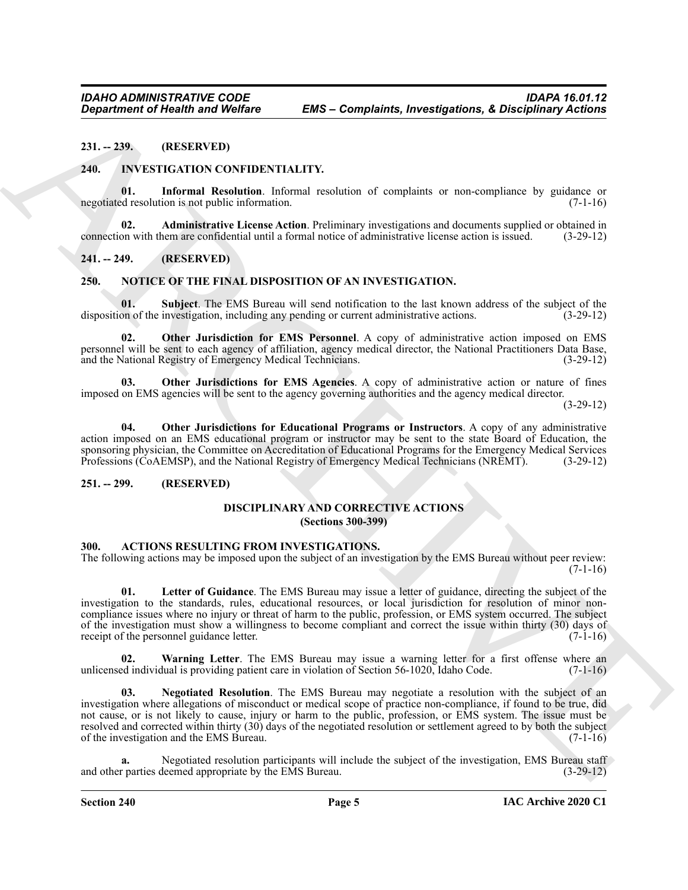<span id="page-4-0"></span>**231. -- 239. (RESERVED)**

#### <span id="page-4-14"></span><span id="page-4-12"></span><span id="page-4-1"></span>**240. INVESTIGATION CONFIDENTIALITY.**

**01.** Informal Resolution. Informal resolution of complaints or non-compliance by guidance or de resolution is not public information. (7-1-16) negotiated resolution is not public information.

<span id="page-4-13"></span>**02. Administrative License Action**. Preliminary investigations and documents supplied or obtained in connection with them are confidential until a formal notice of administrative license action is issued. (3-29-12)

#### <span id="page-4-2"></span>**241. -- 249. (RESERVED)**

#### <span id="page-4-15"></span><span id="page-4-3"></span>**250. NOTICE OF THE FINAL DISPOSITION OF AN INVESTIGATION.**

<span id="page-4-19"></span>**01. Subject**. The EMS Bureau will send notification to the last known address of the subject of the on of the investigation, including any pending or current administrative actions. (3-29-12) disposition of the investigation, including any pending or current administrative actions.

<span id="page-4-16"></span>**02. Other Jurisdiction for EMS Personnel**. A copy of administrative action imposed on EMS personnel will be sent to each agency of affiliation, agency medical director, the National Practitioners Data Base, and the National Registry of Emergency Medical Technicians. (3-29-12)

<span id="page-4-18"></span>**03. Other Jurisdictions for EMS Agencies**. A copy of administrative action or nature of fines imposed on EMS agencies will be sent to the agency governing authorities and the agency medical director.

(3-29-12)

<span id="page-4-17"></span>**04. Other Jurisdictions for Educational Programs or Instructors**. A copy of any administrative action imposed on an EMS educational program or instructor may be sent to the state Board of Education, the sponsoring physician, the Committee on Accreditation of Educational Programs for the Emergency Medical Services Professions (CoAEMSP), and the National Registry of Emergency Medical Technicians (NREMT). (3-29-12)

#### <span id="page-4-5"></span><span id="page-4-4"></span>**251. -- 299. (RESERVED)**

#### <span id="page-4-11"></span>**DISCIPLINARY AND CORRECTIVE ACTIONS (Sections 300-399)**

#### <span id="page-4-7"></span><span id="page-4-6"></span>**300. ACTIONS RESULTING FROM INVESTIGATIONS.**

The following actions may be imposed upon the subject of an investigation by the EMS Bureau without peer review:  $(7-1-16)$ 

<span id="page-4-8"></span>**01. Letter of Guidance**. The EMS Bureau may issue a letter of guidance, directing the subject of the investigation to the standards, rules, educational resources, or local jurisdiction for resolution of minor noncompliance issues where no injury or threat of harm to the public, profession, or EMS system occurred. The subject of the investigation must show a willingness to become compliant and correct the issue within thirty (30) days of receipt of the personnel guidance letter. (7-1-16)

<span id="page-4-10"></span><span id="page-4-9"></span>**02. Warning Letter**. The EMS Bureau may issue a warning letter for a first offense where an unlicensed individual is providing patient care in violation of Section 56-1020, Idaho Code. (7-1-16)

**Equation of Health was Welfare EMS – Complaints, Investigations, & Disciplinary Actions<br>
21. -29. (RESERVENT) (CONTINENTIALITY.**<br>
21. ISBN 1978-1874-1878-1883-1883 (CONTINUES) (CONTINUES) (CONTINUES) (CONTINUES) (CONTINU **03. Negotiated Resolution**. The EMS Bureau may negotiate a resolution with the subject of an investigation where allegations of misconduct or medical scope of practice non-compliance, if found to be true, did not cause, or is not likely to cause, injury or harm to the public, profession, or EMS system. The issue must be resolved and corrected within thirty (30) days of the negotiated resolution or settlement agreed to by both the subject of the investigation and the EMS Bureau. (7-1-16)

**a.** Negotiated resolution participants will include the subject of the investigation, EMS Bureau staff and other parties deemed appropriate by the EMS Bureau. (3-29-12)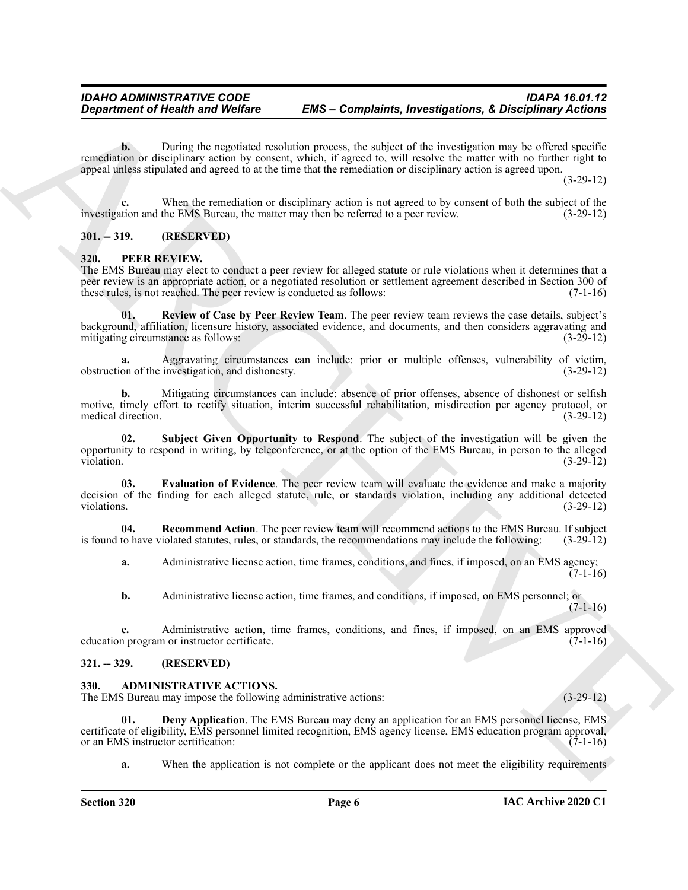**b.** During the negotiated resolution process, the subject of the investigation may be offered specific remediation or disciplinary action by consent, which, if agreed to, will resolve the matter with no further right to appeal unless stipulated and agreed to at the time that the remediation or disciplinary action is agreed upon.

(3-29-12)

**c.** When the remediation or disciplinary action is not agreed to by consent of both the subject of the tion and the EMS Bureau, the matter may then be referred to a peer review. (3-29-12) investigation and the EMS Bureau, the matter may then be referred to a peer review.

#### <span id="page-5-0"></span>**301. -- 319. (RESERVED)**

#### <span id="page-5-6"></span><span id="page-5-1"></span>**320. PEER REVIEW.**

The EMS Bureau may elect to conduct a peer review for alleged statute or rule violations when it determines that a peer review is an appropriate action, or a negotiated resolution or settlement agreement described in Section 300 of these rules, is not reached. The peer review is conducted as follows: (7-1-16)

<span id="page-5-9"></span>**01. Review of Case by Peer Review Team**. The peer review team reviews the case details, subject's background, affiliation, licensure history, associated evidence, and documents, and then considers aggravating and mitigating circumstance as follows: (3-29-12)

**a.** Aggravating circumstances can include: prior or multiple offenses, vulnerability of victim, on of the investigation, and dishonesty. (3-29-12) obstruction of the investigation, and dishonesty.

**b.** Mitigating circumstances can include: absence of prior offenses, absence of dishonest or selfish motive, timely effort to rectify situation, interim successful rehabilitation, misdirection per agency protocol, or medical direction. (3-29-12) medical direction.

<span id="page-5-10"></span><span id="page-5-7"></span>**02. Subject Given Opportunity to Respond**. The subject of the investigation will be given the opportunity to respond in writing, by teleconference, or at the option of the EMS Bureau, in person to the alleged violation. (3-29-12)

Generation of Health was WebFace EMS - Completion, Investigations, & Disciplinary Actions<br>
considers a Discretion of the line in the line of the line of the consideration of the constraints of the constraints of the line **03. Evaluation of Evidence**. The peer review team will evaluate the evidence and make a majority decision of the finding for each alleged statute, rule, or standards violation, including any additional detected violations. (3-29-12) violations. (3-29-12)

**04.** Recommend Action. The peer review team will recommend actions to the EMS Bureau. If subject to have violated statutes, rules, or standards, the recommendations may include the following: (3-29-12) is found to have violated statutes, rules, or standards, the recommendations may include the following:

<span id="page-5-8"></span>**a.** Administrative license action, time frames, conditions, and fines, if imposed, on an EMS agency;  $(7-1-16)$ 

**b.** Administrative license action, time frames, and conditions, if imposed, on EMS personnel; or  $(7-1-16)$ 

**c.** Administrative action, time frames, conditions, and fines, if imposed, on an EMS approved n program or instructor certificate. (7-1-16) education program or instructor certificate.

#### <span id="page-5-2"></span>**321. -- 329. (RESERVED)**

#### <span id="page-5-4"></span><span id="page-5-3"></span>**330. ADMINISTRATIVE ACTIONS.**

The EMS Bureau may impose the following administrative actions: (3-29-12) (3-29-12)

**01. Deny Application**. The EMS Bureau may deny an application for an EMS personnel license, EMS certificate of eligibility, EMS personnel limited recognition, EMS agency license, EMS education program approval, or an EMS instructor certification:

<span id="page-5-5"></span>**a.** When the application is not complete or the applicant does not meet the eligibility requirements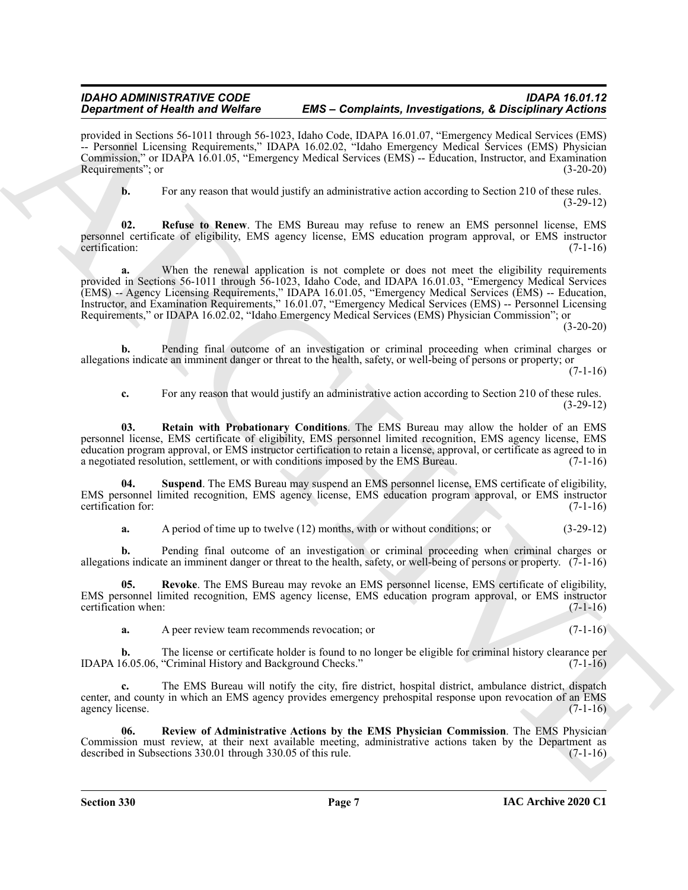provided in Sections 56-1011 through 56-1023, Idaho Code, IDAPA 16.01.07, "Emergency Medical Services (EMS) -- Personnel Licensing Requirements," IDAPA 16.02.02, "Idaho Emergency Medical Services (EMS) Physician Commission," or IDAPA 16.01.05, "Emergency Medical Services (EMS) -- Education, Instructor, and Examination Requirements"; or (3-20-20)

<span id="page-6-2"></span>**b.** For any reason that would justify an administrative action according to Section 210 of these rules. (3-29-12)

**02. Refuse to Renew**. The EMS Bureau may refuse to renew an EMS personnel license, EMS personnel certificate of eligibility, EMS agency license, EMS education program approval, or EMS instructor certification: (7-1-16) certification: (7-1-16)

**Experiment of Health Saving St-1021, Jakob - Complete Research Architects Proposition A. Complete Research Architects Complete Research Architects Complete Research Architects Complete Research Architects Complete Resear a.** When the renewal application is not complete or does not meet the eligibility requirements provided in Sections 56-1011 through 56-1023, Idaho Code, and IDAPA 16.01.03, "Emergency Medical Services (EMS) -- Agency Licensing Requirements," IDAPA 16.01.05, "Emergency Medical Services (EMS) -- Education, Instructor, and Examination Requirements," 16.01.07, "Emergency Medical Services (EMS) -- Personnel Licensing Requirements," or IDAPA 16.02.02, "Idaho Emergency Medical Services (EMS) Physician Commission"; or

(3-20-20)

**b.** Pending final outcome of an investigation or criminal proceeding when criminal charges or allegations indicate an imminent danger or threat to the health, safety, or well-being of persons or property; or

 $(7-1-16)$ 

<span id="page-6-3"></span>**c.** For any reason that would justify an administrative action according to Section 210 of these rules. (3-29-12)

**03. Retain with Probationary Conditions**. The EMS Bureau may allow the holder of an EMS personnel license, EMS certificate of eligibility, EMS personnel limited recognition, EMS agency license, EMS education program approval, or EMS instructor certification to retain a license, approval, or certificate as agreed to in a negotiated resolution, settlement, or with conditions imposed by the EMS Bureau. (7-1-16)

**04. Suspend**. The EMS Bureau may suspend an EMS personnel license, EMS certificate of eligibility, EMS personnel limited recognition, EMS agency license, EMS education program approval, or EMS instructor certification for: (7-1-16)

<span id="page-6-4"></span><span id="page-6-1"></span>**a.** A period of time up to twelve (12) months, with or without conditions; or (3-29-12)

**b.** Pending final outcome of an investigation or criminal proceeding when criminal charges or allegations indicate an imminent danger or threat to the health, safety, or well-being of persons or property. (7-1-16)

**05. Revoke**. The EMS Bureau may revoke an EMS personnel license, EMS certificate of eligibility, EMS personnel limited recognition, EMS agency license, EMS education program approval, or EMS instructor certification when: (7-1-16)

**a.** A peer review team recommends revocation; or (7-1-16)

**b.** The license or certificate holder is found to no longer be eligible for criminal history clearance per IDAPA 16.05.06, "Criminal History and Background Checks." (7-1-16)

**c.** The EMS Bureau will notify the city, fire district, hospital district, ambulance district, dispatch center, and county in which an EMS agency provides emergency prehospital response upon revocation of an EMS agency license. (7-1-16)

<span id="page-6-0"></span>**06. Review of Administrative Actions by the EMS Physician Commission**. The EMS Physician Commission must review, at their next available meeting, administrative actions taken by the Department as described in Subsections 330.01 through 330.05 of this rule. (7-1-16)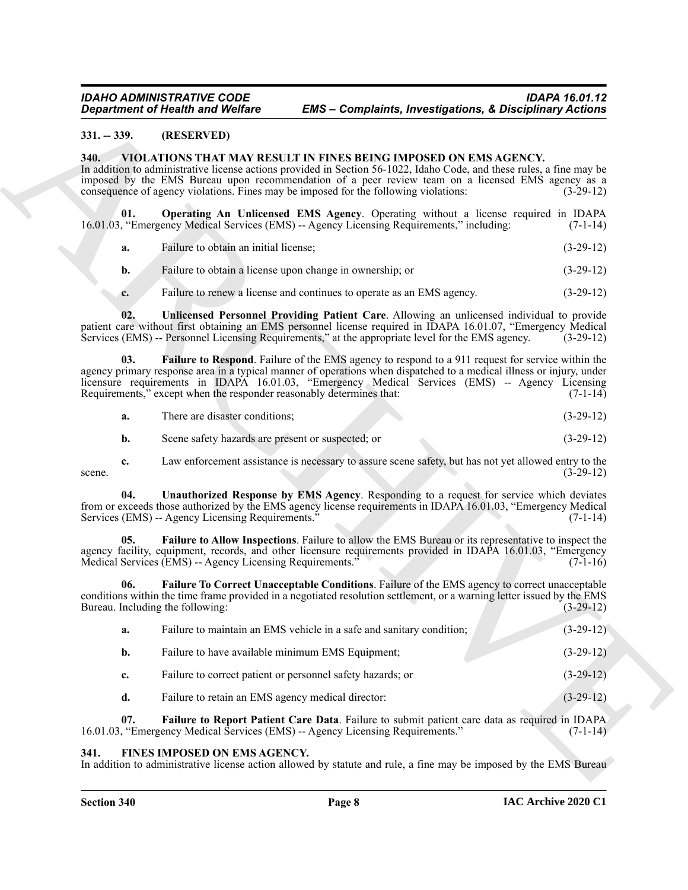#### <span id="page-7-0"></span>**331. -- 339. (RESERVED)**

#### <span id="page-7-4"></span><span id="page-7-1"></span>**340. VIOLATIONS THAT MAY RESULT IN FINES BEING IMPOSED ON EMS AGENCY.**

- <span id="page-7-9"></span>**a.** Failure to obtain an initial license; (3-29-12)
- **b.** Failure to obtain a license upon change in ownership; or (3-29-12)
- <span id="page-7-11"></span><span id="page-7-8"></span>**c.** Failure to renew a license and continues to operate as an EMS agency. (3-29-12)

<span id="page-7-10"></span><span id="page-7-6"></span><span id="page-7-5"></span>

| a. | There are disaster conditions: |  | $(3-29-12)$ |
|----|--------------------------------|--|-------------|
|----|--------------------------------|--|-------------|

| $331. - 339.$ | (RESERVED)                                                           |                                                                                                                                                                                                                                                                                                                                                                                        |             |
|---------------|----------------------------------------------------------------------|----------------------------------------------------------------------------------------------------------------------------------------------------------------------------------------------------------------------------------------------------------------------------------------------------------------------------------------------------------------------------------------|-------------|
| 340.          |                                                                      | VIOLATIONS THAT MAY RESULT IN FINES BEING IMPOSED ON EMS AGENCY.<br>In addition to administrative license actions provided in Section 56-1022, Idaho Code, and these rules, a fine may be<br>imposed by the EMS Bureau upon recommendation of a peer review team on a licensed EMS agency as a<br>consequence of agency violations. Fines may be imposed for the following violations: | $(3-29-12)$ |
| 01.           |                                                                      | Operating An Unlicensed EMS Agency. Operating without a license required in IDAPA<br>16.01.03, "Emergency Medical Services (EMS) -- Agency Licensing Requirements," including:                                                                                                                                                                                                         | $(7-1-14)$  |
| a.            | Failure to obtain an initial license;                                |                                                                                                                                                                                                                                                                                                                                                                                        | $(3-29-12)$ |
| b.            |                                                                      | Failure to obtain a license upon change in ownership; or                                                                                                                                                                                                                                                                                                                               | $(3-29-12)$ |
| c.            |                                                                      | Failure to renew a license and continues to operate as an EMS agency.                                                                                                                                                                                                                                                                                                                  | $(3-29-12)$ |
| 02.           |                                                                      | Unlicensed Personnel Providing Patient Care. Allowing an unlicensed individual to provide<br>patient care without first obtaining an EMS personnel license required in IDAPA 16.01.07, "Emergency Medical<br>Services (EMS) -- Personnel Licensing Requirements," at the appropriate level for the EMS agency.                                                                         | $(3-29-12)$ |
| 03.           | Requirements," except when the responder reasonably determines that: | <b>Failure to Respond.</b> Failure of the EMS agency to respond to a 911 request for service within the<br>agency primary response area in a typical manner of operations when dispatched to a medical illness or injury, under<br>licensure requirements in IDAPA 16.01.03, "Emergency Medical Services (EMS) -- Agency Licensing                                                     | $(7-1-14)$  |
| a.            | There are disaster conditions;                                       |                                                                                                                                                                                                                                                                                                                                                                                        | $(3-29-12)$ |
| b.            | Scene safety hazards are present or suspected; or                    |                                                                                                                                                                                                                                                                                                                                                                                        | $(3-29-12)$ |
| c.<br>scene.  |                                                                      | Law enforcement assistance is necessary to assure scene safety, but has not yet allowed entry to the                                                                                                                                                                                                                                                                                   | $(3-29-12)$ |
| 04.           | Services (EMS) -- Agency Licensing Requirements."                    | Unauthorized Response by EMS Agency. Responding to a request for service which deviates<br>from or exceeds those authorized by the EMS agency license requirements in IDAPA 16.01.03, "Emergency Medical                                                                                                                                                                               | $(7-1-14)$  |
| 05.           | Medical Services (EMS) -- Agency Licensing Requirements."            | Failure to Allow Inspections. Failure to allow the EMS Bureau or its representative to inspect the<br>agency facility, equipment, records, and other licensure requirements provided in IDAPA 16.01.03, "Emergency                                                                                                                                                                     | $(7-1-16)$  |
| 06.           | Bureau. Including the following:                                     | Failure To Correct Unacceptable Conditions. Failure of the EMS agency to correct unacceptable<br>conditions within the time frame provided in a negotiated resolution settlement, or a warning letter issued by the EMS                                                                                                                                                                | $(3-29-12)$ |
| a.            |                                                                      | Failure to maintain an EMS vehicle in a safe and sanitary condition;                                                                                                                                                                                                                                                                                                                   | $(3-29-12)$ |
| b.            |                                                                      | Failure to have available minimum EMS Equipment;                                                                                                                                                                                                                                                                                                                                       | $(3-29-12)$ |
| c.            |                                                                      | Failure to correct patient or personnel safety hazards; or                                                                                                                                                                                                                                                                                                                             | $(3-29-12)$ |
| d.            | Failure to retain an EMS agency medical director:                    |                                                                                                                                                                                                                                                                                                                                                                                        | $(3-29-12)$ |
| 07.           |                                                                      | Failure to Report Patient Care Data. Failure to submit patient care data as required in IDAPA<br>16.01.03, "Emergency Medical Services (EMS) -- Agency Licensing Requirements."                                                                                                                                                                                                        | $(7-1-14)$  |

#### <span id="page-7-7"></span><span id="page-7-3"></span><span id="page-7-2"></span>**341. FINES IMPOSED ON EMS AGENCY.**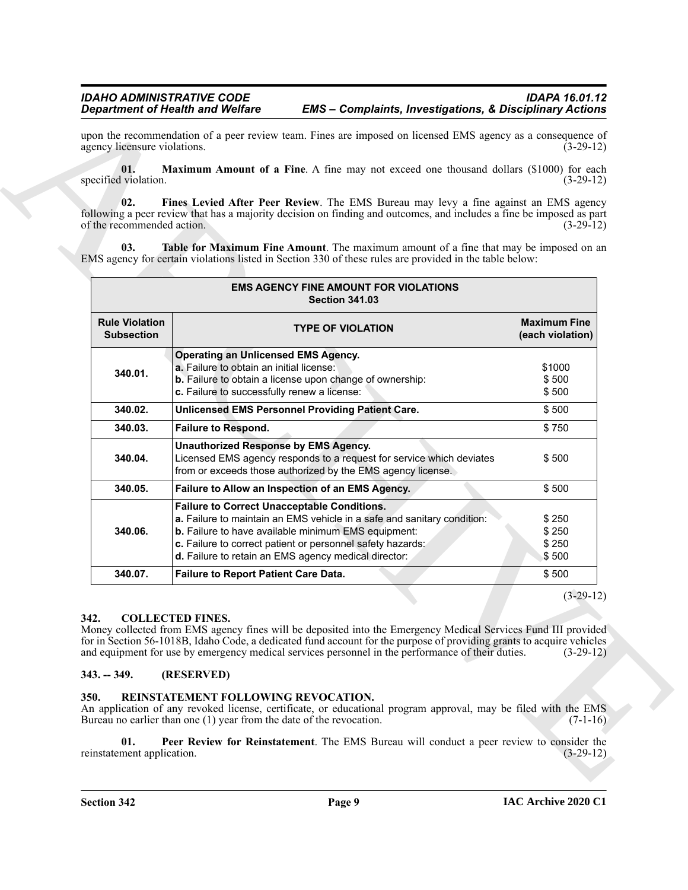<span id="page-8-6"></span><span id="page-8-5"></span><span id="page-8-4"></span>

| Table for Maximum Fine Amount. The maximum amount of a fine that may be imposed on an<br>03. | EMS agency for certain violations listed in Section 330 of these rules are provided in the table below:                                                                                                                                                                                                                                                                              |                                         |
|----------------------------------------------------------------------------------------------|--------------------------------------------------------------------------------------------------------------------------------------------------------------------------------------------------------------------------------------------------------------------------------------------------------------------------------------------------------------------------------------|-----------------------------------------|
|                                                                                              | <b>EMS AGENCY FINE AMOUNT FOR VIOLATIONS</b><br><b>Section 341.03</b>                                                                                                                                                                                                                                                                                                                |                                         |
| <b>Rule Violation</b><br><b>Subsection</b>                                                   | <b>TYPE OF VIOLATION</b>                                                                                                                                                                                                                                                                                                                                                             | <b>Maximum Fine</b><br>(each violation) |
| 340.01.                                                                                      | <b>Operating an Unlicensed EMS Agency.</b><br>a. Failure to obtain an initial license:<br>b. Failure to obtain a license upon change of ownership:<br>c. Failure to successfully renew a license:                                                                                                                                                                                    | \$1000<br>\$500<br>\$500                |
| 340.02.                                                                                      | <b>Unlicensed EMS Personnel Providing Patient Care.</b>                                                                                                                                                                                                                                                                                                                              | \$500                                   |
| 340.03.                                                                                      | <b>Failure to Respond.</b>                                                                                                                                                                                                                                                                                                                                                           | \$750                                   |
| 340.04.                                                                                      | <b>Unauthorized Response by EMS Agency.</b><br>Licensed EMS agency responds to a request for service which deviates<br>from or exceeds those authorized by the EMS agency license.                                                                                                                                                                                                   | \$500                                   |
| 340.05.                                                                                      | Failure to Allow an Inspection of an EMS Agency.                                                                                                                                                                                                                                                                                                                                     | \$500                                   |
| 340.06.                                                                                      | <b>Failure to Correct Unacceptable Conditions.</b><br>a. Failure to maintain an EMS vehicle in a safe and sanitary condition:<br>b. Failure to have available minimum EMS equipment:<br>c. Failure to correct patient or personnel safety hazards:<br>d. Failure to retain an EMS agency medical director:                                                                           | \$250<br>\$250<br>\$250<br>\$500        |
| 340.07.                                                                                      | Failure to Report Patient Care Data.                                                                                                                                                                                                                                                                                                                                                 | \$500                                   |
|                                                                                              |                                                                                                                                                                                                                                                                                                                                                                                      | $(3-29-12)$                             |
| 342.<br>$343. - 349.$                                                                        | <b>COLLECTED FINES.</b><br>Money collected from EMS agency fines will be deposited into the Emergency Medical Services Fund III provided<br>for in Section 56-1018B, Idaho Code, a dedicated fund account for the purpose of providing grants to acquire vehicles<br>and equipment for use by emergency medical services personnel in the performance of their duties.<br>(RESERVED) | $(3-29-12)$                             |

#### <span id="page-8-3"></span><span id="page-8-0"></span>**342. COLLECTED FINES.**

#### <span id="page-8-1"></span>**343. -- 349. (RESERVED)**

#### <span id="page-8-8"></span><span id="page-8-7"></span><span id="page-8-2"></span>**350. REINSTATEMENT FOLLOWING REVOCATION.**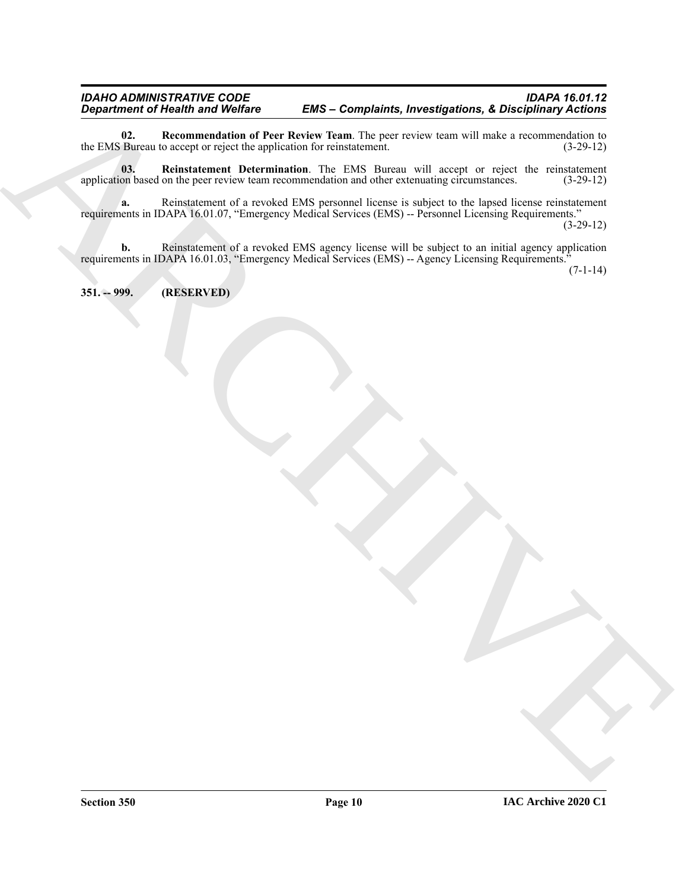<span id="page-9-1"></span>**02.** Recommendation of Peer Review Team. The peer review team will make a recommendation to Bureau to accept or reject the application for reinstatement. (3-29-12) the EMS Bureau to accept or reject the application for reinstatement.

<span id="page-9-2"></span>**03.** Reinstatement Determination. The EMS Bureau will accept or reject the reinstatement on based on the peer review team recommendation and other extenuating circumstances. (3-29-12) application based on the peer review team recommendation and other extenuating circumstances.

**a.** Reinstatement of a revoked EMS personnel license is subject to the lapsed license reinstatement requirements in IDAPA 16.01.07, "Emergency Medical Services (EMS) -- Personnel Licensing Requirements."

(3-29-12)

 $\overrightarrow{B}$  and  $\overrightarrow{B}$  and  $\overrightarrow{B}$  and  $\overrightarrow{B}$  and  $\overrightarrow{B}$  and  $\overrightarrow{B}$  and  $\overrightarrow{B}$  and  $\overrightarrow{B}$  and  $\overrightarrow{B}$  and  $\overrightarrow{B}$  and  $\overrightarrow{B}$  and  $\overrightarrow{B}$  and  $\overrightarrow{B}$  and  $\overrightarrow{B}$  and  $\overrightarrow{B}$  and  $\overrightarrow{B}$  and  $\overrightarrow{B}$  and **b.** Reinstatement of a revoked EMS agency license will be subject to an initial agency application requirements in IDAPA 16.01.03, "Emergency Medical Services (EMS) -- Agency Licensing Requirements."

 $(7-1-14)$ 

#### <span id="page-9-0"></span>**351. -- 999. (RESERVED)**